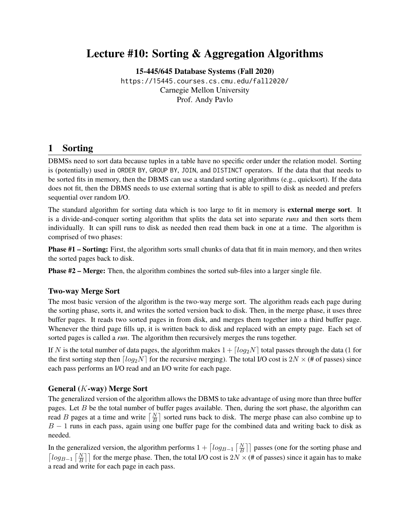# Lecture #10: Sorting & Aggregation Algorithms

[15-445/645 Database Systems \(Fall 2020\)](https://15445.courses.cs.cmu.edu/fall2020/) <https://15445.courses.cs.cmu.edu/fall2020/> Carnegie Mellon University [Prof. Andy Pavlo](http://www.cs.cmu.edu/~pavlo/)

## 1 Sorting

DBMSs need to sort data because tuples in a table have no specific order under the relation model. Sorting is (potentially) used in ORDER BY, GROUP BY, JOIN, and DISTINCT operators. If the data that that needs to be sorted fits in memory, then the DBMS can use a standard sorting algorithms (e.g., quicksort). If the data does not fit, then the DBMS needs to use external sorting that is able to spill to disk as needed and prefers sequential over random I/O.

The standard algorithm for sorting data which is too large to fit in memory is **external merge sort**. It is a divide-and-conquer sorting algorithm that splits the data set into separate *runs* and then sorts them individually. It can spill runs to disk as needed then read them back in one at a time. The algorithm is comprised of two phases:

Phase #1 – Sorting: First, the algorithm sorts small chunks of data that fit in main memory, and then writes the sorted pages back to disk.

Phase #2 – Merge: Then, the algorithm combines the sorted sub-files into a larger single file.

#### Two-way Merge Sort

The most basic version of the algorithm is the two-way merge sort. The algorithm reads each page during the sorting phase, sorts it, and writes the sorted version back to disk. Then, in the merge phase, it uses three buffer pages. It reads two sorted pages in from disk, and merges them together into a third buffer page. Whenever the third page fills up, it is written back to disk and replaced with an empty page. Each set of sorted pages is called a *run*. The algorithm then recursively merges the runs together.

If N is the total number of data pages, the algorithm makes  $1 + \lceil log_2N \rceil$  total passes through the data (1 for the first sorting step then  $\lceil log_2N \rceil$  for the recursive merging). The total I/O cost is  $2N \times (# of passes)$  since each pass performs an I/O read and an I/O write for each page.

#### General (K-way) Merge Sort

The generalized version of the algorithm allows the DBMS to take advantage of using more than three buffer pages. Let  $B$  be the total number of buffer pages available. Then, during the sort phase, the algorithm can read B pages at a time and write  $\lceil \frac{N}{B} \rceil$  sorted runs back to disk. The merge phase can also combine up to  $B - 1$  runs in each pass, again using one buffer page for the combined data and writing back to disk as needed.

In the generalized version, the algorithm performs  $1 + \left\lceil \log_{B-1} \left\lceil \frac{N}{B} \right\rceil \right\rceil$  passes (one for the sorting phase and  $\lceil log_{B-1} \lceil \frac{N}{B} \rceil \rceil$  for the merge phase. Then, the total I/O cost is 2N × (# of passes) since it again has to make a read and write for each page in each pass.